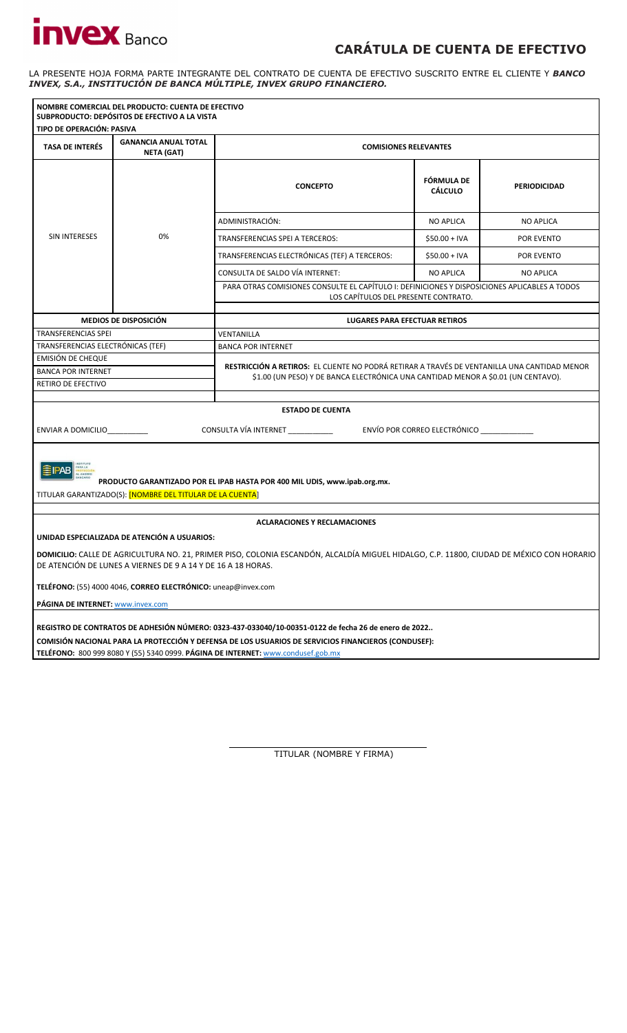## **CARÁTULA DE CUENTA DE EFECTIVO**

LA PRESENTE HOJA FORMA PARTE INTEGRANTE DEL CONTRATO DE CUENTA DE EFECTIVO SUSCRITO ENTRE EL CLIENTE Y *BANCO INVEX, S.A., INSTITUCIÓN DE BANCA MÚLTIPLE, INVEX GRUPO FINANCIERO.* 

|                                                                                                                                                                                                          | NOMBRE COMERCIAL DEL PRODUCTO: CUENTA DE EFECTIVO<br>SUBPRODUCTO: DEPÓSITOS DE EFECTIVO A LA VISTA |                                                                                                                                       |                                           |                     |  |  |
|----------------------------------------------------------------------------------------------------------------------------------------------------------------------------------------------------------|----------------------------------------------------------------------------------------------------|---------------------------------------------------------------------------------------------------------------------------------------|-------------------------------------------|---------------------|--|--|
| TIPO DE OPERACIÓN: PASIVA                                                                                                                                                                                |                                                                                                    |                                                                                                                                       |                                           |                     |  |  |
| <b>TASA DE INTERÉS</b>                                                                                                                                                                                   | <b>GANANCIA ANUAL TOTAL</b><br><b>NETA (GAT)</b>                                                   | <b>COMISIONES RELEVANTES</b>                                                                                                          |                                           |                     |  |  |
|                                                                                                                                                                                                          |                                                                                                    | <b>CONCEPTO</b>                                                                                                                       | FÓRMULA DE<br><b>CÁLCULO</b>              | <b>PERIODICIDAD</b> |  |  |
|                                                                                                                                                                                                          |                                                                                                    | ADMINISTRACIÓN:                                                                                                                       | <b>NO APLICA</b>                          | <b>NO APLICA</b>    |  |  |
| SIN INTERESES                                                                                                                                                                                            | 0%                                                                                                 | TRANSFERENCIAS SPEI A TERCEROS:                                                                                                       | \$50.00 + IVA                             | POR EVENTO          |  |  |
|                                                                                                                                                                                                          |                                                                                                    | TRANSFERENCIAS ELECTRÓNICAS (TEF) A TERCEROS:                                                                                         | $$50.00 + IVA$                            | POR EVENTO          |  |  |
|                                                                                                                                                                                                          |                                                                                                    | CONSULTA DE SALDO VÍA INTERNET:                                                                                                       | <b>NO APLICA</b>                          | <b>NO APLICA</b>    |  |  |
|                                                                                                                                                                                                          |                                                                                                    | PARA OTRAS COMISIONES CONSULTE EL CAPÍTULO I: DEFINICIONES Y DISPOSICIONES APLICABLES A TODOS<br>LOS CAPÍTULOS DEL PRESENTE CONTRATO. |                                           |                     |  |  |
|                                                                                                                                                                                                          |                                                                                                    |                                                                                                                                       |                                           |                     |  |  |
| <b>TRANSFERENCIAS SPEL</b>                                                                                                                                                                               | <b>MEDIOS DE DISPOSICIÓN</b>                                                                       | LUGARES PARA EFECTUAR RETIROS<br>VENTANILLA                                                                                           |                                           |                     |  |  |
| TRANSFERENCIAS ELECTRÓNICAS (TEF)                                                                                                                                                                        |                                                                                                    | <b>BANCA POR INTERNET</b>                                                                                                             |                                           |                     |  |  |
| EMISIÓN DE CHEQUE                                                                                                                                                                                        |                                                                                                    | RESTRICCIÓN A RETIROS: EL CLIENTE NO PODRÁ RETIRAR A TRAVÉS DE VENTANILLA UNA CANTIDAD MENOR                                          |                                           |                     |  |  |
| <b>BANCA POR INTERNET</b>                                                                                                                                                                                |                                                                                                    |                                                                                                                                       |                                           |                     |  |  |
| RETIRO DE EFECTIVO                                                                                                                                                                                       |                                                                                                    | \$1.00 (UN PESO) Y DE BANCA ELECTRÓNICA UNA CANTIDAD MENOR A \$0.01 (UN CENTAVO).                                                     |                                           |                     |  |  |
|                                                                                                                                                                                                          |                                                                                                    |                                                                                                                                       |                                           |                     |  |  |
| ENVIAR A DOMICILIO                                                                                                                                                                                       |                                                                                                    | <b>ESTADO DE CUENTA</b><br>CONSULTA VÍA INTERNET __________                                                                           | ENVÍO POR CORREO ELECTRÓNICO ____________ |                     |  |  |
| PRODUCTO GARANTIZADO POR EL IPAB HASTA POR 400 MIL UDIS, www.ipab.org.mx.<br>TITULAR GARANTIZADO(S): <mark>[NOMBRE DEL TITULAR DE LA CUENTA</mark> ]                                                     |                                                                                                    |                                                                                                                                       |                                           |                     |  |  |
|                                                                                                                                                                                                          |                                                                                                    |                                                                                                                                       |                                           |                     |  |  |
|                                                                                                                                                                                                          |                                                                                                    | <b>ACLARACIONES Y RECLAMACIONES</b>                                                                                                   |                                           |                     |  |  |
| UNIDAD ESPECIALIZADA DE ATENCIÓN A USUARIOS:                                                                                                                                                             |                                                                                                    |                                                                                                                                       |                                           |                     |  |  |
| DOMICILIO: CALLE DE AGRICULTURA NO. 21, PRIMER PISO, COLONIA ESCANDÓN, ALCALDÍA MIGUEL HIDALGO, C.P. 11800, CIUDAD DE MÉXICO CON HORARIO<br>DE ATENCIÓN DE LUNES A VIERNES DE 9 A 14 Y DE 16 A 18 HORAS. |                                                                                                    |                                                                                                                                       |                                           |                     |  |  |
| TELÉFONO: (55) 4000 4046, CORREO ELECTRÓNICO: uneap@invex.com                                                                                                                                            |                                                                                                    |                                                                                                                                       |                                           |                     |  |  |
| PÁGINA DE INTERNET: www.invex.com                                                                                                                                                                        |                                                                                                    |                                                                                                                                       |                                           |                     |  |  |
| REGISTRO DE CONTRATOS DE ADHESIÓN NÚMERO: 0323-437-033040/10-00351-0122 de fecha 26 de enero de 2022                                                                                                     |                                                                                                    |                                                                                                                                       |                                           |                     |  |  |
| COMISIÓN NACIONAL PARA LA PROTECCIÓN Y DEFENSA DE LOS USUARIOS DE SERVICIOS FINANCIEROS (CONDUSEF):                                                                                                      |                                                                                                    |                                                                                                                                       |                                           |                     |  |  |
| TELÉFONO: 800 999 8080 Y (55) 5340 0999. PÁGINA DE INTERNET: www.condusef.gob.mx                                                                                                                         |                                                                                                    |                                                                                                                                       |                                           |                     |  |  |

TITULAR (NOMBRE Y FIRMA)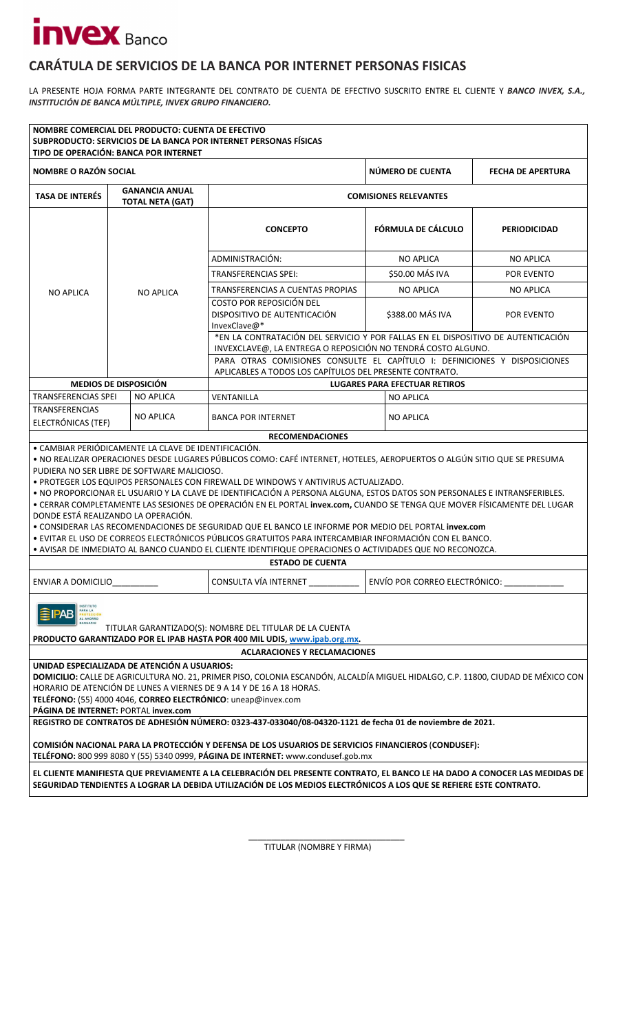### **CARÁTULA DE SERVICIOS DE LA BANCA POR INTERNET PERSONAS FISICAS**

LA PRESENTE HOJA FORMA PARTE INTEGRANTE DEL CONTRATO DE CUENTA DE EFECTIVO SUSCRITO ENTRE EL CLIENTE Y *BANCO INVEX, S.A., INSTITUCIÓN DE BANCA MÚLTIPLE, INVEX GRUPO FINANCIERO.* 

| NOMBRE COMERCIAL DEL PRODUCTO: CUENTA DE EFECTIVO<br>TIPO DE OPERACIÓN: BANCA POR INTERNET                                                                                                                                                                                                                                                                                                                                                                                                                                                                                                                                                                                                                                                                                                                                                                                                                                                         |                                                                                  |                  | SUBPRODUCTO: SERVICIOS DE LA BANCA POR INTERNET PERSONAS FÍSICAS                                                                                                                                                                                                          |                    |                                      |                          |  |
|----------------------------------------------------------------------------------------------------------------------------------------------------------------------------------------------------------------------------------------------------------------------------------------------------------------------------------------------------------------------------------------------------------------------------------------------------------------------------------------------------------------------------------------------------------------------------------------------------------------------------------------------------------------------------------------------------------------------------------------------------------------------------------------------------------------------------------------------------------------------------------------------------------------------------------------------------|----------------------------------------------------------------------------------|------------------|---------------------------------------------------------------------------------------------------------------------------------------------------------------------------------------------------------------------------------------------------------------------------|--------------------|--------------------------------------|--------------------------|--|
| <b>NOMBRE O RAZÓN SOCIAL</b>                                                                                                                                                                                                                                                                                                                                                                                                                                                                                                                                                                                                                                                                                                                                                                                                                                                                                                                       |                                                                                  |                  |                                                                                                                                                                                                                                                                           |                    | NÚMERO DE CUENTA                     | <b>FECHA DE APERTURA</b> |  |
| <b>TASA DE INTERÉS</b>                                                                                                                                                                                                                                                                                                                                                                                                                                                                                                                                                                                                                                                                                                                                                                                                                                                                                                                             | <b>GANANCIA ANUAL</b><br><b>COMISIONES RELEVANTES</b><br><b>TOTAL NETA (GAT)</b> |                  |                                                                                                                                                                                                                                                                           |                    |                                      |                          |  |
|                                                                                                                                                                                                                                                                                                                                                                                                                                                                                                                                                                                                                                                                                                                                                                                                                                                                                                                                                    |                                                                                  |                  | <b>CONCEPTO</b>                                                                                                                                                                                                                                                           | FÓRMULA DE CÁLCULO |                                      | <b>PERIODICIDAD</b>      |  |
|                                                                                                                                                                                                                                                                                                                                                                                                                                                                                                                                                                                                                                                                                                                                                                                                                                                                                                                                                    |                                                                                  |                  | ADMINISTRACIÓN:                                                                                                                                                                                                                                                           |                    | <b>NO APLICA</b>                     | NO API ICA               |  |
|                                                                                                                                                                                                                                                                                                                                                                                                                                                                                                                                                                                                                                                                                                                                                                                                                                                                                                                                                    |                                                                                  |                  | <b>TRANSFERENCIAS SPEI:</b>                                                                                                                                                                                                                                               |                    | \$50.00 MÁS IVA                      | POR EVENTO               |  |
| <b>NO APLICA</b>                                                                                                                                                                                                                                                                                                                                                                                                                                                                                                                                                                                                                                                                                                                                                                                                                                                                                                                                   |                                                                                  | <b>NO APLICA</b> | TRANSFERENCIAS A CUENTAS PROPIAS                                                                                                                                                                                                                                          |                    | <b>NO APLICA</b>                     | <b>NO APLICA</b>         |  |
|                                                                                                                                                                                                                                                                                                                                                                                                                                                                                                                                                                                                                                                                                                                                                                                                                                                                                                                                                    |                                                                                  |                  | COSTO POR REPOSICIÓN DEL<br>DISPOSITIVO DE AUTENTICACIÓN<br>InvexClave@*                                                                                                                                                                                                  |                    | \$388.00 MÁS IVA                     | POR EVENTO               |  |
|                                                                                                                                                                                                                                                                                                                                                                                                                                                                                                                                                                                                                                                                                                                                                                                                                                                                                                                                                    |                                                                                  |                  | *EN LA CONTRATACIÓN DEL SERVICIO Y POR FALLAS EN EL DISPOSITIVO DE AUTENTICACIÓN<br>INVEXCLAVE@, LA ENTREGA O REPOSICIÓN NO TENDRÁ COSTO ALGUNO.                                                                                                                          |                    |                                      |                          |  |
|                                                                                                                                                                                                                                                                                                                                                                                                                                                                                                                                                                                                                                                                                                                                                                                                                                                                                                                                                    |                                                                                  |                  | PARA OTRAS COMISIONES CONSULTE EL CAPÍTULO I: DEFINICIONES Y DISPOSICIONES<br>APLICABLES A TODOS LOS CAPÍTULOS DEL PRESENTE CONTRATO.                                                                                                                                     |                    |                                      |                          |  |
| <b>MEDIOS DE DISPOSICIÓN</b>                                                                                                                                                                                                                                                                                                                                                                                                                                                                                                                                                                                                                                                                                                                                                                                                                                                                                                                       |                                                                                  |                  |                                                                                                                                                                                                                                                                           |                    | <b>LUGARES PARA EFECTUAR RETIROS</b> |                          |  |
| <b>TRANSFERENCIAS SPEI</b>                                                                                                                                                                                                                                                                                                                                                                                                                                                                                                                                                                                                                                                                                                                                                                                                                                                                                                                         |                                                                                  | <b>NO APLICA</b> | VENTANILLA                                                                                                                                                                                                                                                                |                    | <b>NO APLICA</b>                     |                          |  |
| TRANSFERENCIAS<br>ELECTRÓNICAS (TEF)                                                                                                                                                                                                                                                                                                                                                                                                                                                                                                                                                                                                                                                                                                                                                                                                                                                                                                               |                                                                                  | <b>NO APLICA</b> | <b>BANCA POR INTERNET</b>                                                                                                                                                                                                                                                 |                    | NO APLICA                            |                          |  |
|                                                                                                                                                                                                                                                                                                                                                                                                                                                                                                                                                                                                                                                                                                                                                                                                                                                                                                                                                    |                                                                                  |                  | <b>RECOMENDACIONES</b>                                                                                                                                                                                                                                                    |                    |                                      |                          |  |
| • CAMBIAR PERIÓDICAMENTE LA CLAVE DE IDENTIFICACIÓN.<br>· NO REALIZAR OPERACIONES DESDE LUGARES PÚBLICOS COMO: CAFÉ INTERNET, HOTELES, AEROPUERTOS O ALGÚN SITIO QUE SE PRESUMA<br>PUDIERA NO SER LIBRE DE SOFTWARE MALICIOSO.<br>. PROTEGER LOS EQUIPOS PERSONALES CON FIREWALL DE WINDOWS Y ANTIVIRUS ACTUALIZADO.<br>· NO PROPORCIONAR EL USUARIO Y LA CLAVE DE IDENTIFICACIÓN A PERSONA ALGUNA, ESTOS DATOS SON PERSONALES E INTRANSFERIBLES.<br>· CERRAR COMPLETAMENTE LAS SESIONES DE OPERACIÓN EN EL PORTAL invex.com, CUANDO SE TENGA QUE MOVER FÍSICAMENTE DEL LUGAR<br>DONDE ESTÁ REALIZANDO LA OPERACIÓN.<br>. CONSIDERAR LAS RECOMENDACIONES DE SEGURIDAD QUE EL BANCO LE INFORME POR MEDIO DEL PORTAL invex.com<br>· EVITAR EL USO DE CORREOS ELECTRÓNICOS PÚBLICOS GRATUITOS PARA INTERCAMBIAR INFORMACIÓN CON EL BANCO.<br>. AVISAR DE INMEDIATO AL BANCO CUANDO EL CLIENTE IDENTIFIQUE OPERACIONES O ACTIVIDADES QUE NO RECONOZCA. |                                                                                  |                  |                                                                                                                                                                                                                                                                           |                    |                                      |                          |  |
|                                                                                                                                                                                                                                                                                                                                                                                                                                                                                                                                                                                                                                                                                                                                                                                                                                                                                                                                                    |                                                                                  |                  | <b>ESTADO DE CUENTA</b>                                                                                                                                                                                                                                                   |                    |                                      |                          |  |
| ENVIAR A DOMICILIO                                                                                                                                                                                                                                                                                                                                                                                                                                                                                                                                                                                                                                                                                                                                                                                                                                                                                                                                 |                                                                                  |                  | CONSULTA VÍA INTERNET                                                                                                                                                                                                                                                     |                    | ENVÍO POR CORREO ELECTRÓNICO:        |                          |  |
| AL AHORRO<br>TITULAR GARANTIZADO(S): NOMBRE DEL TITULAR DE LA CUENTA<br>PRODUCTO GARANTIZADO POR EL IPAB HASTA POR 400 MIL UDIS, www.ipab.org.mx.                                                                                                                                                                                                                                                                                                                                                                                                                                                                                                                                                                                                                                                                                                                                                                                                  |                                                                                  |                  |                                                                                                                                                                                                                                                                           |                    |                                      |                          |  |
|                                                                                                                                                                                                                                                                                                                                                                                                                                                                                                                                                                                                                                                                                                                                                                                                                                                                                                                                                    |                                                                                  |                  | <b>ACLARACIONES Y RECLAMACIONES</b>                                                                                                                                                                                                                                       |                    |                                      |                          |  |
| UNIDAD ESPECIALIZADA DE ATENCIÓN A USUARIOS:<br>PÁGINA DE INTERNET: PORTAL invex.com                                                                                                                                                                                                                                                                                                                                                                                                                                                                                                                                                                                                                                                                                                                                                                                                                                                               |                                                                                  |                  | DOMICILIO: CALLE DE AGRICULTURA NO. 21, PRIMER PISO, COLONIA ESCANDÓN, ALCALDÍA MIGUEL HIDALGO, C.P. 11800, CIUDAD DE MÉXICO CON<br>HORARIO DE ATENCIÓN DE LUNES A VIERNES DE 9 A 14 Y DE 16 A 18 HORAS.<br>TELÉFONO: (55) 4000 4046, CORREO ELECTRÓNICO: uneap@invex.com |                    |                                      |                          |  |
| REGISTRO DE CONTRATOS DE ADHESIÓN NÚMERO: 0323-437-033040/08-04320-1121 de fecha 01 de noviembre de 2021.                                                                                                                                                                                                                                                                                                                                                                                                                                                                                                                                                                                                                                                                                                                                                                                                                                          |                                                                                  |                  |                                                                                                                                                                                                                                                                           |                    |                                      |                          |  |
| COMISIÓN NACIONAL PARA LA PROTECCIÓN Y DEFENSA DE LOS USUARIOS DE SERVICIOS FINANCIEROS (CONDUSEF):<br>TELÉFONO: 800 999 8080 Y (55) 5340 0999, PÁGINA DE INTERNET: www.condusef.gob.mx                                                                                                                                                                                                                                                                                                                                                                                                                                                                                                                                                                                                                                                                                                                                                            |                                                                                  |                  |                                                                                                                                                                                                                                                                           |                    |                                      |                          |  |
|                                                                                                                                                                                                                                                                                                                                                                                                                                                                                                                                                                                                                                                                                                                                                                                                                                                                                                                                                    |                                                                                  |                  | EL CLIENTE MANIFIESTA QUE PREVIAMENTE A LA CELEBRACIÓN DEL PRESENTE CONTRATO, EL BANCO LE HA DADO A CONOCER LAS MEDIDAS DE<br>SEGURIDAD TENDIENTES A LOGRAR LA DEBIDA UTILIZACIÓN DE LOS MEDIOS ELECTRÓNICOS A LOS QUE SE REFIERE ESTE CONTRATO.                          |                    |                                      |                          |  |

TITULAR (NOMBRE Y FIRMA)

\_\_\_\_\_\_\_\_\_\_\_\_\_\_\_\_\_\_\_\_\_\_\_\_\_\_\_\_\_\_\_\_\_\_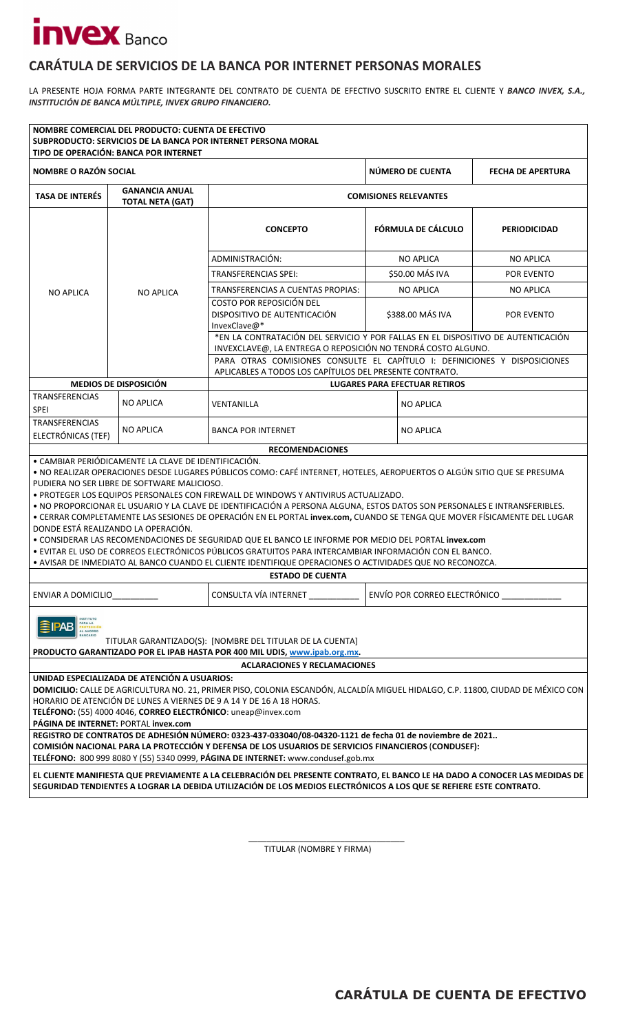### **CARÁTULA DE SERVICIOS DE LA BANCA POR INTERNET PERSONAS MORALES**

LA PRESENTE HOJA FORMA PARTE INTEGRANTE DEL CONTRATO DE CUENTA DE EFECTIVO SUSCRITO ENTRE EL CLIENTE Y *BANCO INVEX, S.A., INSTITUCIÓN DE BANCA MÚLTIPLE, INVEX GRUPO FINANCIERO.* 

|                                                                                                                                                                                                                                                                                                                                                                                                                                                                                                                                                                                                                                                                                                                                                                                                                                        | NOMBRE COMERCIAL DEL PRODUCTO: CUENTA DE EFECTIVO<br>TIPO DE OPERACIÓN: BANCA POR INTERNET                                                            | SUBPRODUCTO: SERVICIOS DE LA BANCA POR INTERNET PERSONA MORAL                                                                                                                                            |                    |                                              |                     |  |  |
|----------------------------------------------------------------------------------------------------------------------------------------------------------------------------------------------------------------------------------------------------------------------------------------------------------------------------------------------------------------------------------------------------------------------------------------------------------------------------------------------------------------------------------------------------------------------------------------------------------------------------------------------------------------------------------------------------------------------------------------------------------------------------------------------------------------------------------------|-------------------------------------------------------------------------------------------------------------------------------------------------------|----------------------------------------------------------------------------------------------------------------------------------------------------------------------------------------------------------|--------------------|----------------------------------------------|---------------------|--|--|
| <b>NOMBRE O RAZÓN SOCIAL</b>                                                                                                                                                                                                                                                                                                                                                                                                                                                                                                                                                                                                                                                                                                                                                                                                           |                                                                                                                                                       |                                                                                                                                                                                                          |                    | NÚMERO DE CUENTA<br><b>FECHA DE APERTURA</b> |                     |  |  |
| <b>TASA DE INTERÉS</b>                                                                                                                                                                                                                                                                                                                                                                                                                                                                                                                                                                                                                                                                                                                                                                                                                 | <b>GANANCIA ANUAL</b><br><b>TOTAL NETA (GAT)</b>                                                                                                      | <b>COMISIONES RELEVANTES</b>                                                                                                                                                                             |                    |                                              |                     |  |  |
|                                                                                                                                                                                                                                                                                                                                                                                                                                                                                                                                                                                                                                                                                                                                                                                                                                        |                                                                                                                                                       | <b>CONCEPTO</b>                                                                                                                                                                                          | FÓRMULA DE CÁLCULO |                                              | <b>PERIODICIDAD</b> |  |  |
|                                                                                                                                                                                                                                                                                                                                                                                                                                                                                                                                                                                                                                                                                                                                                                                                                                        |                                                                                                                                                       | ADMINISTRACIÓN:                                                                                                                                                                                          |                    | <b>NO APLICA</b>                             | <b>NO APLICA</b>    |  |  |
|                                                                                                                                                                                                                                                                                                                                                                                                                                                                                                                                                                                                                                                                                                                                                                                                                                        |                                                                                                                                                       | <b>TRANSFERENCIAS SPEI:</b>                                                                                                                                                                              | \$50.00 MÁS IVA    |                                              | POR EVENTO          |  |  |
| <b>NO APLICA</b>                                                                                                                                                                                                                                                                                                                                                                                                                                                                                                                                                                                                                                                                                                                                                                                                                       | <b>NO APLICA</b>                                                                                                                                      | <b>TRANSFERENCIAS A CUENTAS PROPIAS:</b>                                                                                                                                                                 |                    | <b>NO APLICA</b>                             | <b>NO APLICA</b>    |  |  |
|                                                                                                                                                                                                                                                                                                                                                                                                                                                                                                                                                                                                                                                                                                                                                                                                                                        |                                                                                                                                                       | COSTO POR REPOSICIÓN DEL<br>DISPOSITIVO DE AUTENTICACIÓN<br>InvexClave@*                                                                                                                                 |                    | \$388.00 MÁS IVA                             | POR EVENTO          |  |  |
|                                                                                                                                                                                                                                                                                                                                                                                                                                                                                                                                                                                                                                                                                                                                                                                                                                        |                                                                                                                                                       | *EN LA CONTRATACIÓN DEL SERVICIO Y POR FALLAS EN EL DISPOSITIVO DE AUTENTICACIÓN<br>INVEXCLAVE@, LA ENTREGA O REPOSICIÓN NO TENDRÁ COSTO ALGUNO.                                                         |                    |                                              |                     |  |  |
|                                                                                                                                                                                                                                                                                                                                                                                                                                                                                                                                                                                                                                                                                                                                                                                                                                        |                                                                                                                                                       | PARA OTRAS COMISIONES CONSULTE EL CAPÍTULO I: DEFINICIONES Y DISPOSICIONES<br>APLICABLES A TODOS LOS CAPÍTULOS DEL PRESENTE CONTRATO.                                                                    |                    |                                              |                     |  |  |
|                                                                                                                                                                                                                                                                                                                                                                                                                                                                                                                                                                                                                                                                                                                                                                                                                                        | <b>MEDIOS DE DISPOSICIÓN</b>                                                                                                                          |                                                                                                                                                                                                          |                    | <b>LUGARES PARA EFECTUAR RETIROS</b>         |                     |  |  |
| <b>TRANSFERENCIAS</b><br><b>SPEI</b>                                                                                                                                                                                                                                                                                                                                                                                                                                                                                                                                                                                                                                                                                                                                                                                                   | <b>NO APLICA</b>                                                                                                                                      | VENTANILLA                                                                                                                                                                                               | <b>NO APLICA</b>   |                                              |                     |  |  |
| <b>TRANSFERENCIAS</b><br>ELECTRÓNICAS (TEF)                                                                                                                                                                                                                                                                                                                                                                                                                                                                                                                                                                                                                                                                                                                                                                                            | <b>NO APLICA</b>                                                                                                                                      | <b>BANCA POR INTERNET</b>                                                                                                                                                                                | <b>NO APLICA</b>   |                                              |                     |  |  |
|                                                                                                                                                                                                                                                                                                                                                                                                                                                                                                                                                                                                                                                                                                                                                                                                                                        |                                                                                                                                                       | <b>RECOMENDACIONES</b>                                                                                                                                                                                   |                    |                                              |                     |  |  |
| • CAMBIAR PERIÓDICAMENTE LA CLAVE DE IDENTIFICACIÓN.<br>· NO REALIZAR OPERACIONES DESDE LUGARES PÚBLICOS COMO: CAFÉ INTERNET, HOTELES, AEROPUERTOS O ALGÚN SITIO QUE SE PRESUMA<br>PUDIERA NO SER LIBRE DE SOFTWARE MALICIOSO.<br>. PROTEGER LOS EQUIPOS PERSONALES CON FIREWALL DE WINDOWS Y ANTIVIRUS ACTUALIZADO.<br>. NO PROPORCIONAR EL USUARIO Y LA CLAVE DE IDENTIFICACIÓN A PERSONA ALGUNA, ESTOS DATOS SON PERSONALES E INTRANSFERIBLES.<br>· CERRAR COMPLETAMENTE LAS SESIONES DE OPERACIÓN EN EL PORTAL invex.com, CUANDO SE TENGA QUE MOVER FÍSICAMENTE DEL LUGAR<br>DONDE ESTÁ REALIZANDO LA OPERACIÓN.<br>. CONSIDERAR LAS RECOMENDACIONES DE SEGURIDAD QUE EL BANCO LE INFORME POR MEDIO DEL PORTAL invex.com<br>· EVITAR EL USO DE CORREOS ELECTRÓNICOS PÚBLICOS GRATUITOS PARA INTERCAMBIAR INFORMACIÓN CON EL BANCO. |                                                                                                                                                       |                                                                                                                                                                                                          |                    |                                              |                     |  |  |
| . AVISAR DE INMEDIATO AL BANCO CUANDO EL CLIENTE IDENTIFIQUE OPERACIONES O ACTIVIDADES QUE NO RECONOZCA.<br><b>ESTADO DE CUENTA</b>                                                                                                                                                                                                                                                                                                                                                                                                                                                                                                                                                                                                                                                                                                    |                                                                                                                                                       |                                                                                                                                                                                                          |                    |                                              |                     |  |  |
| CONSULTA VÍA INTERNET<br>ENVÍO POR CORREO ELECTRÓNICO<br>ENVIAR A DOMICILIO                                                                                                                                                                                                                                                                                                                                                                                                                                                                                                                                                                                                                                                                                                                                                            |                                                                                                                                                       |                                                                                                                                                                                                          |                    |                                              |                     |  |  |
| PARA LA<br><b>AL AHORRO</b><br>TITULAR GARANTIZADO(S): [NOMBRE DEL TITULAR DE LA CUENTA]<br>PRODUCTO GARANTIZADO POR EL IPAB HASTA POR 400 MIL UDIS, www.ipab.org.mx.                                                                                                                                                                                                                                                                                                                                                                                                                                                                                                                                                                                                                                                                  |                                                                                                                                                       |                                                                                                                                                                                                          |                    |                                              |                     |  |  |
|                                                                                                                                                                                                                                                                                                                                                                                                                                                                                                                                                                                                                                                                                                                                                                                                                                        |                                                                                                                                                       | <b>ACLARACIONES Y RECLAMACIONES</b>                                                                                                                                                                      |                    |                                              |                     |  |  |
|                                                                                                                                                                                                                                                                                                                                                                                                                                                                                                                                                                                                                                                                                                                                                                                                                                        | UNIDAD ESPECIALIZADA DE ATENCIÓN A USUARIOS:<br>TELÉFONO: (55) 4000 4046, CORREO ELECTRÓNICO: uneap@invex.com<br>PÁGINA DE INTERNET: PORTAL invex.com | DOMICILIO: CALLE DE AGRICULTURA NO. 21, PRIMER PISO, COLONIA ESCANDÓN, ALCALDÍA MIGUEL HIDALGO, C.P. 11800, CIUDAD DE MÉXICO CON<br>HORARIO DE ATENCIÓN DE LUNES A VIERNES DE 9 A 14 Y DE 16 A 18 HORAS. |                    |                                              |                     |  |  |
| REGISTRO DE CONTRATOS DE ADHESIÓN NÚMERO: 0323-437-033040/08-04320-1121 de fecha 01 de noviembre de 2021<br>COMISIÓN NACIONAL PARA LA PROTECCIÓN Y DEFENSA DE LOS USUARIOS DE SERVICIOS FINANCIEROS (CONDUSEF):<br>TELÉFONO: 800 999 8080 Y (55) 5340 0999, PÁGINA DE INTERNET: www.condusef.gob.mx                                                                                                                                                                                                                                                                                                                                                                                                                                                                                                                                    |                                                                                                                                                       |                                                                                                                                                                                                          |                    |                                              |                     |  |  |
| EL CLIENTE MANIFIESTA QUE PREVIAMENTE A LA CELEBRACIÓN DEL PRESENTE CONTRATO, EL BANCO LE HA DADO A CONOCER LAS MEDIDAS DE<br>SEGURIDAD TENDIENTES A LOGRAR LA DEBIDA UTILIZACIÓN DE LOS MEDIOS ELECTRÓNICOS A LOS QUE SE REFIERE ESTE CONTRATO.                                                                                                                                                                                                                                                                                                                                                                                                                                                                                                                                                                                       |                                                                                                                                                       |                                                                                                                                                                                                          |                    |                                              |                     |  |  |

TITULAR (NOMBRE Y FIRMA)

\_\_\_\_\_\_\_\_\_\_\_\_\_\_\_\_\_\_\_\_\_\_\_\_\_\_\_\_\_\_\_\_\_\_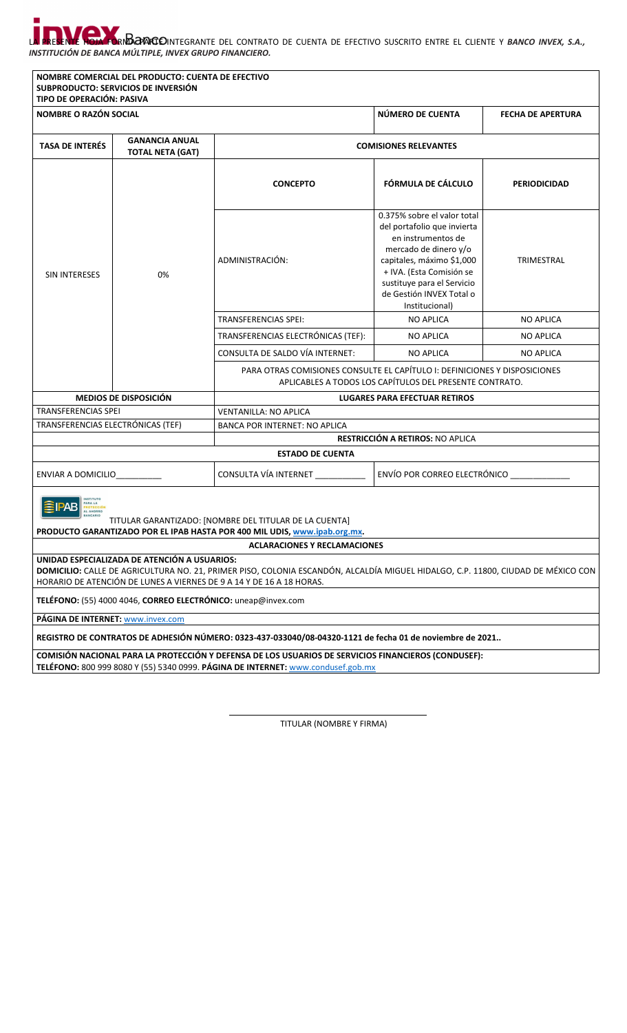#### P. LA PRESENTE HOJA FORMA PARTE INTEGRANTE DEL CONTRATO DE CUENTA DE EFECTIVO SUSCRITO ENTRE EL CLIENTE Y *BANCO INVEX, S.A., INSTITUCIÓN DE BANCA MÚLTIPLE, INVEX GRUPO FINANCIERO.*

| TIPO DE OPERACIÓN: PASIVA                                                                                                                     | NOMBRE COMERCIAL DEL PRODUCTO: CUENTA DE EFECTIVO<br>SUBPRODUCTO: SERVICIOS DE INVERSIÓN |                                                                                                                                                                                                          |                                                                                                                                                                                                                                                |                          |  |  |  |
|-----------------------------------------------------------------------------------------------------------------------------------------------|------------------------------------------------------------------------------------------|----------------------------------------------------------------------------------------------------------------------------------------------------------------------------------------------------------|------------------------------------------------------------------------------------------------------------------------------------------------------------------------------------------------------------------------------------------------|--------------------------|--|--|--|
| <b>NOMBRE O RAZÓN SOCIAL</b>                                                                                                                  |                                                                                          |                                                                                                                                                                                                          | NÚMERO DE CUENTA                                                                                                                                                                                                                               | <b>FECHA DE APERTURA</b> |  |  |  |
| <b>GANANCIA ANUAL</b><br><b>TASA DE INTERÉS</b><br><b>TOTAL NETA (GAT)</b>                                                                    |                                                                                          |                                                                                                                                                                                                          | <b>COMISIONES RELEVANTES</b>                                                                                                                                                                                                                   |                          |  |  |  |
| SIN INTERESES                                                                                                                                 | 0%                                                                                       | <b>CONCEPTO</b>                                                                                                                                                                                          | FÓRMULA DE CÁLCULO                                                                                                                                                                                                                             | <b>PERIODICIDAD</b>      |  |  |  |
|                                                                                                                                               |                                                                                          | ADMINISTRACIÓN:                                                                                                                                                                                          | 0.375% sobre el valor total<br>del portafolio que invierta<br>en instrumentos de<br>mercado de dinero y/o<br>capitales, máximo \$1,000<br>+ IVA. (Esta Comisión se<br>sustituye para el Servicio<br>de Gestión INVEX Total o<br>Institucional) | TRIMESTRAL               |  |  |  |
|                                                                                                                                               |                                                                                          | <b>TRANSFERENCIAS SPEI:</b>                                                                                                                                                                              | <b>NO APLICA</b>                                                                                                                                                                                                                               | <b>NO APLICA</b>         |  |  |  |
|                                                                                                                                               |                                                                                          | TRANSFERENCIAS ELECTRÓNICAS (TEF):                                                                                                                                                                       | <b>NO APLICA</b>                                                                                                                                                                                                                               | <b>NO APLICA</b>         |  |  |  |
|                                                                                                                                               |                                                                                          | CONSULTA DE SALDO VÍA INTERNET:                                                                                                                                                                          | <b>NO APLICA</b>                                                                                                                                                                                                                               | <b>NO APLICA</b>         |  |  |  |
|                                                                                                                                               |                                                                                          | PARA OTRAS COMISIONES CONSULTE EL CAPÍTULO I: DEFINICIONES Y DISPOSICIONES<br>APLICABLES A TODOS LOS CAPÍTULOS DEL PRESENTE CONTRATO.                                                                    |                                                                                                                                                                                                                                                |                          |  |  |  |
|                                                                                                                                               | <b>MEDIOS DE DISPOSICIÓN</b>                                                             |                                                                                                                                                                                                          | <b>LUGARES PARA EFECTUAR RETIROS</b>                                                                                                                                                                                                           |                          |  |  |  |
| <b>TRANSFERENCIAS SPEI</b>                                                                                                                    |                                                                                          | <b>VENTANILLA: NO APLICA</b>                                                                                                                                                                             |                                                                                                                                                                                                                                                |                          |  |  |  |
| TRANSFERENCIAS ELECTRÓNICAS (TEF)                                                                                                             |                                                                                          | <b>BANCA POR INTERNET: NO APLICA</b>                                                                                                                                                                     | RESTRICCIÓN A RETIROS: NO APLICA                                                                                                                                                                                                               |                          |  |  |  |
|                                                                                                                                               |                                                                                          | <b>ESTADO DE CUENTA</b>                                                                                                                                                                                  |                                                                                                                                                                                                                                                |                          |  |  |  |
| ENVÍO POR CORREO ELECTRÓNICO ___________<br>CONSULTA VÍA INTERNET<br>ENVIAR A DOMICILIO                                                       |                                                                                          |                                                                                                                                                                                                          |                                                                                                                                                                                                                                                |                          |  |  |  |
| AHORRO<br>TITULAR GARANTIZADO: [NOMBRE DEL TITULAR DE LA CUENTA]<br>PRODUCTO GARANTIZADO POR EL IPAB HASTA POR 400 MIL UDIS, www.ipab.org.mx. |                                                                                          |                                                                                                                                                                                                          |                                                                                                                                                                                                                                                |                          |  |  |  |
|                                                                                                                                               |                                                                                          | <b>ACLARACIONES Y RECLAMACIONES</b>                                                                                                                                                                      |                                                                                                                                                                                                                                                |                          |  |  |  |
|                                                                                                                                               | UNIDAD ESPECIALIZADA DE ATENCIÓN A USUARIOS:                                             | DOMICILIO: CALLE DE AGRICULTURA NO. 21, PRIMER PISO, COLONIA ESCANDÓN, ALCALDÍA MIGUEL HIDALGO, C.P. 11800, CIUDAD DE MÉXICO CON<br>HORARIO DE ATENCIÓN DE LUNES A VIERNES DE 9 A 14 Y DE 16 A 18 HORAS. |                                                                                                                                                                                                                                                |                          |  |  |  |
|                                                                                                                                               | TELÉFONO: (55) 4000 4046, CORREO ELECTRÓNICO: uneap@invex.com                            |                                                                                                                                                                                                          |                                                                                                                                                                                                                                                |                          |  |  |  |
| PÁGINA DE INTERNET: www.invex.com                                                                                                             |                                                                                          |                                                                                                                                                                                                          |                                                                                                                                                                                                                                                |                          |  |  |  |
| REGISTRO DE CONTRATOS DE ADHESIÓN NÚMERO: 0323-437-033040/08-04320-1121 de fecha 01 de noviembre de 2021                                      |                                                                                          |                                                                                                                                                                                                          |                                                                                                                                                                                                                                                |                          |  |  |  |
|                                                                                                                                               |                                                                                          | COMISIÓN NACIONAL PARA LA PROTECCIÓN Y DEFENSA DE LOS USUARIOS DE SERVICIOS FINANCIEROS (CONDUSEF):<br>TELÉFONO: 800 999 8080 Y (55) 5340 0999. PÁGINA DE INTERNET: www.condusef.gob.mx                  |                                                                                                                                                                                                                                                |                          |  |  |  |

TITULAR (NOMBRE Y FIRMA)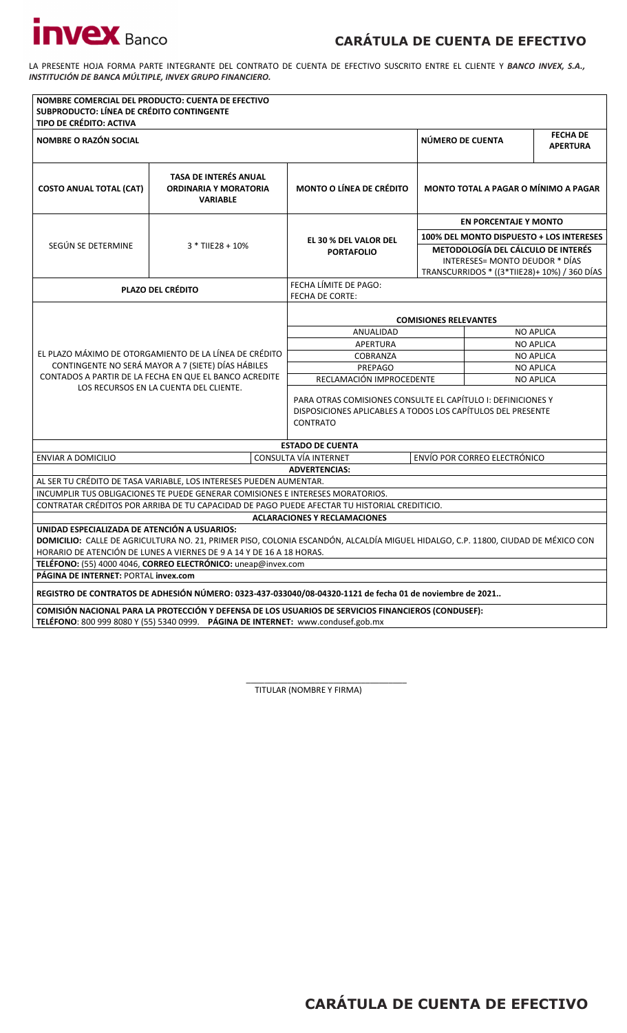## **CARÁTULA DE CUENTA DE EFECTIVO**

LA PRESENTE HOJA FORMA PARTE INTEGRANTE DEL CONTRATO DE CUENTA DE EFECTIVO SUSCRITO ENTRE EL CLIENTE Y *BANCO INVEX, S.A., INSTITUCIÓN DE BANCA MÚLTIPLE, INVEX GRUPO FINANCIERO.* 

| SUBPRODUCTO: LÍNEA DE CRÉDITO CONTINGENTE<br><b>TIPO DE CRÉDITO: ACTIVA</b>                                                                                                                                                                                                                                                                                       | NOMBRE COMERCIAL DEL PRODUCTO: CUENTA DE EFECTIVO                                                                                                    |                                                                                                                                                |                                                                                                                             |                  |                                          |  |
|-------------------------------------------------------------------------------------------------------------------------------------------------------------------------------------------------------------------------------------------------------------------------------------------------------------------------------------------------------------------|------------------------------------------------------------------------------------------------------------------------------------------------------|------------------------------------------------------------------------------------------------------------------------------------------------|-----------------------------------------------------------------------------------------------------------------------------|------------------|------------------------------------------|--|
| <b>NOMBRE O RAZÓN SOCIAL</b>                                                                                                                                                                                                                                                                                                                                      |                                                                                                                                                      |                                                                                                                                                | NÚMERO DE CUENTA                                                                                                            |                  | <b>FECHA DE</b><br><b>APERTURA</b>       |  |
| <b>COSTO ANUAL TOTAL (CAT)</b>                                                                                                                                                                                                                                                                                                                                    | <b>TASA DE INTERÉS ANUAL</b><br><b>ORDINARIA Y MORATORIA</b><br><b>VARIABLE</b>                                                                      | <b>MONTO O LÍNEA DE CRÉDITO</b>                                                                                                                | MONTO TOTAL A PAGAR O MÍNIMO A PAGAR                                                                                        |                  |                                          |  |
|                                                                                                                                                                                                                                                                                                                                                                   | $3 *$ TIIE28 + 10%                                                                                                                                   |                                                                                                                                                | <b>EN PORCENTAJE Y MONTO</b>                                                                                                |                  |                                          |  |
|                                                                                                                                                                                                                                                                                                                                                                   |                                                                                                                                                      | <b>EL 30 % DEL VALOR DEL</b>                                                                                                                   |                                                                                                                             |                  | 100% DEL MONTO DISPUESTO + LOS INTERESES |  |
| SEGÚN SE DETERMINE                                                                                                                                                                                                                                                                                                                                                |                                                                                                                                                      | <b>PORTAFOLIO</b>                                                                                                                              | <b>METODOLOGÍA DEL CÁLCULO DE INTERÉS</b><br>INTERESES= MONTO DEUDOR * DÍAS<br>TRANSCURRIDOS * ((3*TIIE28)+ 10%) / 360 DÍAS |                  |                                          |  |
|                                                                                                                                                                                                                                                                                                                                                                   | <b>PLAZO DEL CRÉDITO</b>                                                                                                                             | FECHA LÍMITE DE PAGO:<br><b>FECHA DE CORTE:</b>                                                                                                |                                                                                                                             |                  |                                          |  |
|                                                                                                                                                                                                                                                                                                                                                                   |                                                                                                                                                      |                                                                                                                                                |                                                                                                                             |                  |                                          |  |
|                                                                                                                                                                                                                                                                                                                                                                   |                                                                                                                                                      | ANUALIDAD                                                                                                                                      | <b>COMISIONES RELEVANTES</b><br><b>NO APLICA</b>                                                                            |                  |                                          |  |
|                                                                                                                                                                                                                                                                                                                                                                   |                                                                                                                                                      | <b>APERTURA</b>                                                                                                                                |                                                                                                                             | <b>NO APLICA</b> |                                          |  |
|                                                                                                                                                                                                                                                                                                                                                                   | EL PLAZO MÁXIMO DE OTORGAMIENTO DE LA LÍNEA DE CRÉDITO                                                                                               | COBRANZA                                                                                                                                       | <b>NO APLICA</b>                                                                                                            |                  |                                          |  |
|                                                                                                                                                                                                                                                                                                                                                                   | CONTINGENTE NO SERÁ MAYOR A 7 (SIETE) DÍAS HÁBILES                                                                                                   | PREPAGO                                                                                                                                        |                                                                                                                             |                  | <b>NO APLICA</b>                         |  |
|                                                                                                                                                                                                                                                                                                                                                                   | CONTADOS A PARTIR DE LA FECHA EN QUE EL BANCO ACREDITE                                                                                               |                                                                                                                                                | RECLAMACIÓN IMPROCEDENTE<br><b>NO APLICA</b>                                                                                |                  |                                          |  |
|                                                                                                                                                                                                                                                                                                                                                                   | LOS RECURSOS EN LA CUENTA DEL CLIENTE.                                                                                                               | PARA OTRAS COMISIONES CONSULTE EL CAPÍTULO I: DEFINICIONES Y<br>DISPOSICIONES APLICABLES A TODOS LOS CAPÍTULOS DEL PRESENTE<br><b>CONTRATO</b> |                                                                                                                             |                  |                                          |  |
|                                                                                                                                                                                                                                                                                                                                                                   |                                                                                                                                                      | <b>ESTADO DE CUENTA</b>                                                                                                                        |                                                                                                                             |                  |                                          |  |
| <b>ENVIAR A DOMICILIO</b>                                                                                                                                                                                                                                                                                                                                         |                                                                                                                                                      | CONSULTA VÍA INTERNET                                                                                                                          | ENVÍO POR CORREO ELECTRÓNICO                                                                                                |                  |                                          |  |
|                                                                                                                                                                                                                                                                                                                                                                   |                                                                                                                                                      | <b>ADVERTENCIAS:</b>                                                                                                                           |                                                                                                                             |                  |                                          |  |
|                                                                                                                                                                                                                                                                                                                                                                   | AL SER TU CRÉDITO DE TASA VARIABLE, LOS INTERESES PUEDEN AUMENTAR.<br>INCUMPLIR TUS OBLIGACIONES TE PUEDE GENERAR COMISIONES E INTERESES MORATORIOS. |                                                                                                                                                |                                                                                                                             |                  |                                          |  |
|                                                                                                                                                                                                                                                                                                                                                                   | CONTRATAR CRÉDITOS POR ARRIBA DE TU CAPACIDAD DE PAGO PUEDE AFECTAR TU HISTORIAL CREDITICIO.                                                         |                                                                                                                                                |                                                                                                                             |                  |                                          |  |
|                                                                                                                                                                                                                                                                                                                                                                   |                                                                                                                                                      | <b>ACLARACIONES Y RECLAMACIONES</b>                                                                                                            |                                                                                                                             |                  |                                          |  |
| UNIDAD ESPECIALIZADA DE ATENCIÓN A USUARIOS:<br>DOMICILIO: CALLE DE AGRICULTURA NO. 21, PRIMER PISO, COLONIA ESCANDÓN, ALCALDÍA MIGUEL HIDALGO, C.P. 11800, CIUDAD DE MÉXICO CON<br>HORARIO DE ATENCIÓN DE LUNES A VIERNES DE 9 A 14 Y DE 16 A 18 HORAS.<br>TELÉFONO: (55) 4000 4046, CORREO ELECTRÓNICO: uneap@invex.com<br>PÁGINA DE INTERNET: PORTAL invex.com |                                                                                                                                                      |                                                                                                                                                |                                                                                                                             |                  |                                          |  |
| REGISTRO DE CONTRATOS DE ADHESIÓN NÚMERO: 0323-437-033040/08-04320-1121 de fecha 01 de noviembre de 2021                                                                                                                                                                                                                                                          |                                                                                                                                                      |                                                                                                                                                |                                                                                                                             |                  |                                          |  |
| COMISIÓN NACIONAL PARA LA PROTECCIÓN Y DEFENSA DE LOS USUARIOS DE SERVICIOS FINANCIEROS (CONDUSEF):<br>TELÉFONO: 800 999 8080 Y (55) 5340 0999. PÁGINA DE INTERNET: www.condusef.gob.mx                                                                                                                                                                           |                                                                                                                                                      |                                                                                                                                                |                                                                                                                             |                  |                                          |  |

\_\_\_\_\_\_\_\_\_\_\_\_\_\_\_\_\_\_\_\_\_\_\_\_\_\_\_\_\_\_\_\_\_\_\_ TITULAR (NOMBRE Y FIRMA)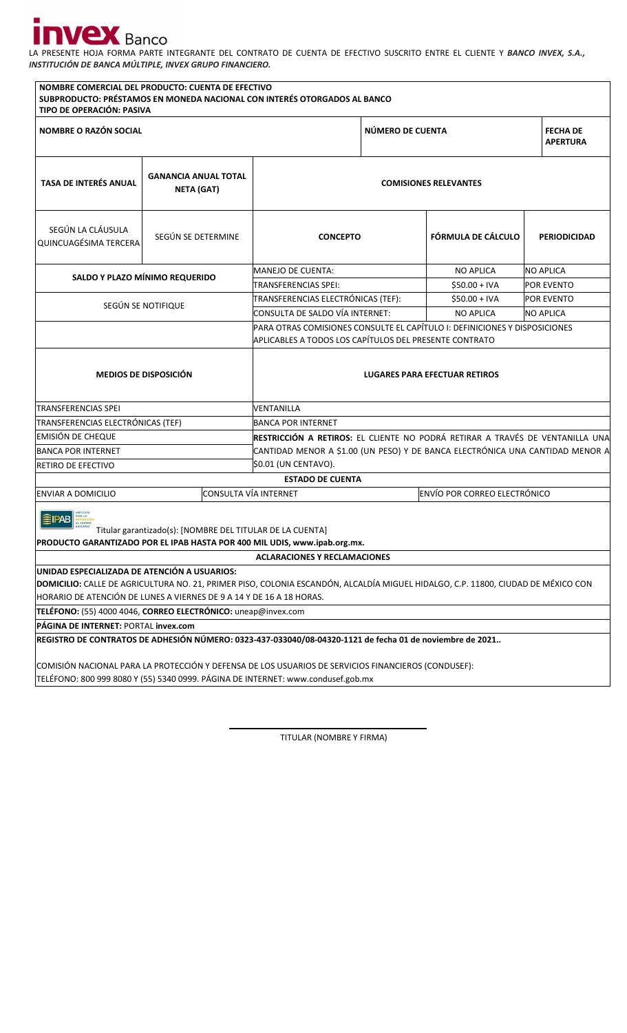## I.

LA PRESENTE HOJA FORMA PARTE INTEGRANTE DEL CONTRATO DE CUENTA DE EFECTIVO SUSCRITO ENTRE EL CLIENTE Y *BANCO INVEX, S.A., INSTITUCIÓN DE BANCA MÚLTIPLE, INVEX GRUPO FINANCIERO.* 

| TIPO DE OPERACIÓN: PASIVA                                                                                                                                                               | NOMBRE COMERCIAL DEL PRODUCTO: CUENTA DE EFECTIVO | SUBPRODUCTO: PRÉSTAMOS EN MONEDA NACIONAL CON INTERÉS OTORGADOS AL BANCO                                                             |  |                                     |                     |  |  |
|-----------------------------------------------------------------------------------------------------------------------------------------------------------------------------------------|---------------------------------------------------|--------------------------------------------------------------------------------------------------------------------------------------|--|-------------------------------------|---------------------|--|--|
| <b>NOMBRE O RAZÓN SOCIAL</b>                                                                                                                                                            |                                                   | NÚMERO DE CUENTA                                                                                                                     |  | <b>FECHA DE</b><br><b>APERTURA</b>  |                     |  |  |
| <b>TASA DE INTERÉS ANUAL</b>                                                                                                                                                            | <b>GANANCIA ANUAL TOTAL</b><br>NETA (GAT)         | <b>COMISIONES RELEVANTES</b>                                                                                                         |  |                                     |                     |  |  |
| SEGÚN LA CLÁUSULA<br>QUINCUAGÉSIMA TERCERA                                                                                                                                              | SEGÚN SE DETERMINE                                | <b>CONCEPTO</b>                                                                                                                      |  | <b>FÓRMULA DE CÁLCULO</b>           | <b>PERIODICIDAD</b> |  |  |
|                                                                                                                                                                                         |                                                   | MANEJO DE CUENTA:                                                                                                                    |  | <b>NO APLICA</b>                    | <b>NO APLICA</b>    |  |  |
|                                                                                                                                                                                         | SALDO Y PLAZO MÍNIMO REQUERIDO                    | TRANSFERENCIAS SPEI:                                                                                                                 |  | $$50.00 + IVA$                      | POR EVENTO          |  |  |
|                                                                                                                                                                                         | SEGÚN SE NOTIFIQUE                                | TRANSFERENCIAS ELECTRÓNICAS (TEF):                                                                                                   |  | $$50.00 + IVA$                      | POR EVENTO          |  |  |
|                                                                                                                                                                                         |                                                   | CONSULTA DE SALDO VÍA INTERNET:                                                                                                      |  | <b>NO APLICA</b>                    | <b>NO APLICA</b>    |  |  |
|                                                                                                                                                                                         |                                                   | PARA OTRAS COMISIONES CONSULTE EL CAPÍTULO I: DEFINICIONES Y DISPOSICIONES<br>APLICABLES A TODOS LOS CAPÍTULOS DEL PRESENTE CONTRATO |  |                                     |                     |  |  |
| <b>MEDIOS DE DISPOSICIÓN</b>                                                                                                                                                            |                                                   | LUGARES PARA EFECTUAR RETIROS                                                                                                        |  |                                     |                     |  |  |
| <b>TRANSFERENCIAS SPEI</b>                                                                                                                                                              |                                                   | VENTANILLA                                                                                                                           |  |                                     |                     |  |  |
| TRANSFERENCIAS ELECTRÓNICAS (TEF)                                                                                                                                                       |                                                   | <b>BANCA POR INTERNET</b>                                                                                                            |  |                                     |                     |  |  |
| EMISIÓN DE CHEQUE                                                                                                                                                                       |                                                   | <b>IRESTRICCIÓN A RETIROS:</b> EL CLIENTE NO PODRÁ RETIRAR A TRAVÉS DE VENTANILLA UNA                                                |  |                                     |                     |  |  |
| <b>BANCA POR INTERNET</b>                                                                                                                                                               |                                                   | CANTIDAD MENOR A \$1.00 (UN PESO) Y DE BANCA ELECTRÓNICA UNA CANTIDAD MENOR A                                                        |  |                                     |                     |  |  |
| RETIRO DE EFECTIVO                                                                                                                                                                      |                                                   | \$0.01 (UN CENTAVO).                                                                                                                 |  |                                     |                     |  |  |
|                                                                                                                                                                                         |                                                   | <b>ESTADO DE CUENTA</b>                                                                                                              |  |                                     |                     |  |  |
| ENVIAR A DOMICILIO                                                                                                                                                                      | CONSULTA VÍA INTERNET                             |                                                                                                                                      |  | <b>ENVÍO POR CORREO ELECTRÓNICO</b> |                     |  |  |
| Titular garantizado(s): [NOMBRE DEL TITULAR DE LA CUENTA]<br>PRODUCTO GARANTIZADO POR EL IPAB HASTA POR 400 MIL UDIS, www.ipab.org.mx.                                                  |                                                   |                                                                                                                                      |  |                                     |                     |  |  |
|                                                                                                                                                                                         |                                                   | <b>ACLARACIONES Y RECLAMACIONES</b>                                                                                                  |  |                                     |                     |  |  |
| UNIDAD ESPECIALIZADA DE ATENCIÓN A USUARIOS:                                                                                                                                            |                                                   |                                                                                                                                      |  |                                     |                     |  |  |
| DOMICILIO: CALLE DE AGRICULTURA NO. 21, PRIMER PISO, COLONIA ESCANDÓN, ALCALDÍA MIGUEL HIDALGO, C.P. 11800, CIUDAD DE MÉXICO CON                                                        |                                                   |                                                                                                                                      |  |                                     |                     |  |  |
| HORARIO DE ATENCIÓN DE LUNES A VIERNES DE 9 A 14 Y DE 16 A 18 HORAS.<br>TELÉFONO: (55) 4000 4046, CORREO ELECTRÓNICO: uneap@invex.com                                                   |                                                   |                                                                                                                                      |  |                                     |                     |  |  |
| PÁGINA DE INTERNET: PORTAL invex.com                                                                                                                                                    |                                                   |                                                                                                                                      |  |                                     |                     |  |  |
| REGISTRO DE CONTRATOS DE ADHESIÓN NÚMERO: 0323-437-033040/08-04320-1121 de fecha 01 de noviembre de 2021                                                                                |                                                   |                                                                                                                                      |  |                                     |                     |  |  |
| COMISIÓN NACIONAL PARA LA PROTECCIÓN Y DEFENSA DE LOS USUARIOS DE SERVICIOS FINANCIEROS (CONDUSEF):<br>TELÉFONO: 800 999 8080 Y (55) 5340 0999. PÁGINA DE INTERNET: www.condusef.gob.mx |                                                   |                                                                                                                                      |  |                                     |                     |  |  |

TITULAR (NOMBRE Y FIRMA)